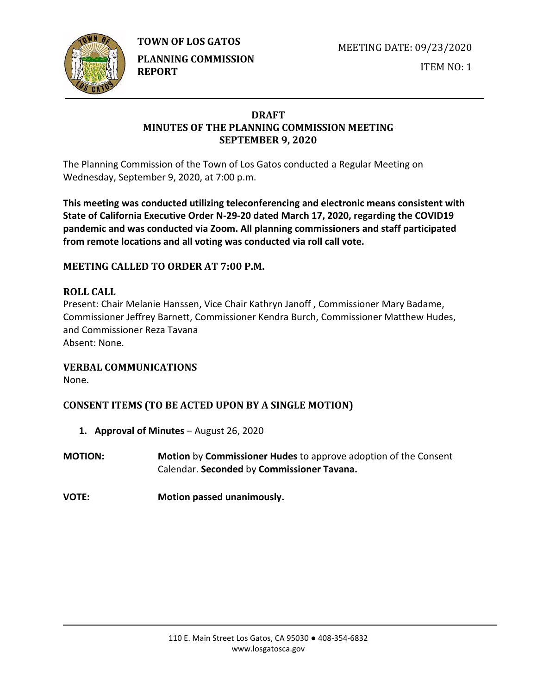

MEETING DATE: 09/23/2020



**PLANNING COMMISSION REPORT**

ITEM NO: 1

### **DRAFT MINUTES OF THE PLANNING COMMISSION MEETING SEPTEMBER 9, 2020**

The Planning Commission of the Town of Los Gatos conducted a Regular Meeting on Wednesday, September 9, 2020, at 7:00 p.m.

**This meeting was conducted utilizing teleconferencing and electronic means consistent with State of California Executive Order N-29-20 dated March 17, 2020, regarding the COVID19 pandemic and was conducted via Zoom. All planning commissioners and staff participated from remote locations and all voting was conducted via roll call vote.**

# **MEETING CALLED TO ORDER AT 7:00 P.M.**

# **ROLL CALL**

Present: Chair Melanie Hanssen, Vice Chair Kathryn Janoff , Commissioner Mary Badame, Commissioner Jeffrey Barnett, Commissioner Kendra Burch, Commissioner Matthew Hudes, and Commissioner Reza Tavana Absent: None.

### **VERBAL COMMUNICATIONS**

None.

# **CONSENT ITEMS (TO BE ACTED UPON BY A SINGLE MOTION)**

- **1. Approval of Minutes** August 26, 2020
- **MOTION: Motion** by **Commissioner Hudes** to approve adoption of the Consent Calendar. **Seconded** by **Commissioner Tavana.**
- **VOTE: Motion passed unanimously.**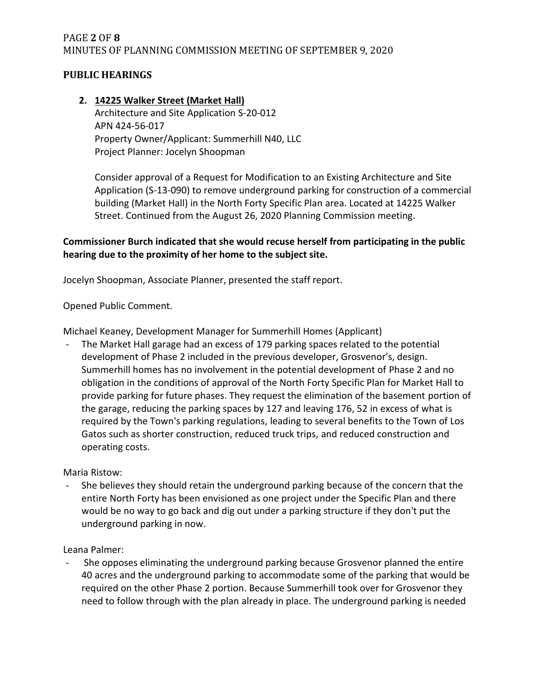# PAGE **2** OF **8** MINUTES OF PLANNING COMMISSION MEETING OF SEPTEMBER 9, 2020

### **PUBLIC HEARINGS**

### **2. 14225 Walker Street (Market Hall)** Architecture and Site Application S-20-012 APN 424-56-017 Property Owner/Applicant: Summerhill N40, LLC Project Planner: Jocelyn Shoopman

Consider approval of a Request for Modification to an Existing Architecture and Site Application (S-13-090) to remove underground parking for construction of a commercial building (Market Hall) in the North Forty Specific Plan area. Located at 14225 Walker Street. Continued from the August 26, 2020 Planning Commission meeting.

### **Commissioner Burch indicated that she would recuse herself from participating in the public hearing due to the proximity of her home to the subject site.**

Jocelyn Shoopman, Associate Planner, presented the staff report.

Opened Public Comment.

Michael Keaney, Development Manager for Summerhill Homes (Applicant)

The Market Hall garage had an excess of 179 parking spaces related to the potential development of Phase 2 included in the previous developer, Grosvenor's, design. Summerhill homes has no involvement in the potential development of Phase 2 and no obligation in the conditions of approval of the North Forty Specific Plan for Market Hall to provide parking for future phases. They request the elimination of the basement portion of the garage, reducing the parking spaces by 127 and leaving 176, 52 in excess of what is required by the Town's parking regulations, leading to several benefits to the Town of Los Gatos such as shorter construction, reduced truck trips, and reduced construction and operating costs.

Maria Ristow:

She believes they should retain the underground parking because of the concern that the entire North Forty has been envisioned as one project under the Specific Plan and there would be no way to go back and dig out under a parking structure if they don't put the underground parking in now.

Leana Palmer:

- She opposes eliminating the underground parking because Grosvenor planned the entire 40 acres and the underground parking to accommodate some of the parking that would be required on the other Phase 2 portion. Because Summerhill took over for Grosvenor they need to follow through with the plan already in place. The underground parking is needed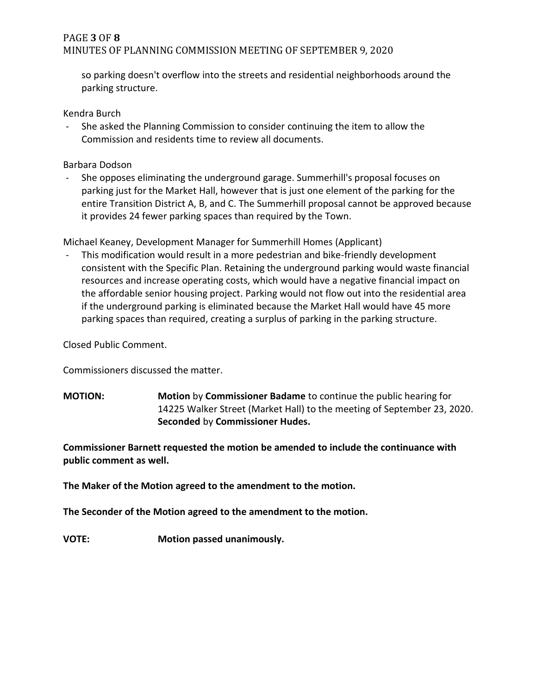### PAGE **3** OF **8** MINUTES OF PLANNING COMMISSION MEETING OF SEPTEMBER 9, 2020

so parking doesn't overflow into the streets and residential neighborhoods around the parking structure.

Kendra Burch

- She asked the Planning Commission to consider continuing the item to allow the Commission and residents time to review all documents.

Barbara Dodson

- She opposes eliminating the underground garage. Summerhill's proposal focuses on parking just for the Market Hall, however that is just one element of the parking for the entire Transition District A, B, and C. The Summerhill proposal cannot be approved because it provides 24 fewer parking spaces than required by the Town.

Michael Keaney, Development Manager for Summerhill Homes (Applicant)

- This modification would result in a more pedestrian and bike-friendly development consistent with the Specific Plan. Retaining the underground parking would waste financial resources and increase operating costs, which would have a negative financial impact on the affordable senior housing project. Parking would not flow out into the residential area if the underground parking is eliminated because the Market Hall would have 45 more parking spaces than required, creating a surplus of parking in the parking structure.

Closed Public Comment.

Commissioners discussed the matter.

**MOTION: Motion** by **Commissioner Badame** to continue the public hearing for 14225 Walker Street (Market Hall) to the meeting of September 23, 2020. **Seconded** by **Commissioner Hudes.**

**Commissioner Barnett requested the motion be amended to include the continuance with public comment as well.** 

**The Maker of the Motion agreed to the amendment to the motion.**

**The Seconder of the Motion agreed to the amendment to the motion.**

**VOTE: Motion passed unanimously.**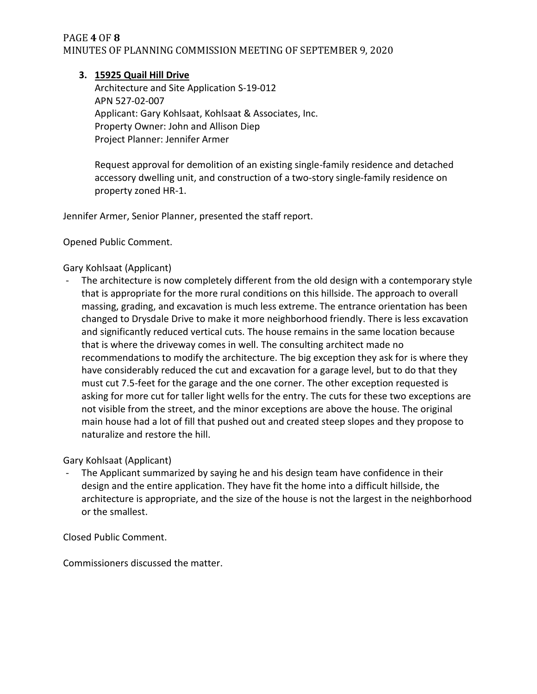### PAGE **4** OF **8** MINUTES OF PLANNING COMMISSION MEETING OF SEPTEMBER 9, 2020

#### **3. 15925 Quail Hill Drive**

Architecture and Site Application S-19-012 APN 527-02-007 Applicant: Gary Kohlsaat, Kohlsaat & Associates, Inc. Property Owner: John and Allison Diep Project Planner: Jennifer Armer

Request approval for demolition of an existing single-family residence and detached accessory dwelling unit, and construction of a two-story single-family residence on property zoned HR-1.

Jennifer Armer, Senior Planner, presented the staff report.

Opened Public Comment.

#### Gary Kohlsaat (Applicant)

- The architecture is now completely different from the old design with a contemporary style that is appropriate for the more rural conditions on this hillside. The approach to overall massing, grading, and excavation is much less extreme. The entrance orientation has been changed to Drysdale Drive to make it more neighborhood friendly. There is less excavation and significantly reduced vertical cuts. The house remains in the same location because that is where the driveway comes in well. The consulting architect made no recommendations to modify the architecture. The big exception they ask for is where they have considerably reduced the cut and excavation for a garage level, but to do that they must cut 7.5-feet for the garage and the one corner. The other exception requested is asking for more cut for taller light wells for the entry. The cuts for these two exceptions are not visible from the street, and the minor exceptions are above the house. The original main house had a lot of fill that pushed out and created steep slopes and they propose to naturalize and restore the hill.

Gary Kohlsaat (Applicant)

The Applicant summarized by saying he and his design team have confidence in their design and the entire application. They have fit the home into a difficult hillside, the architecture is appropriate, and the size of the house is not the largest in the neighborhood or the smallest.

Closed Public Comment.

Commissioners discussed the matter.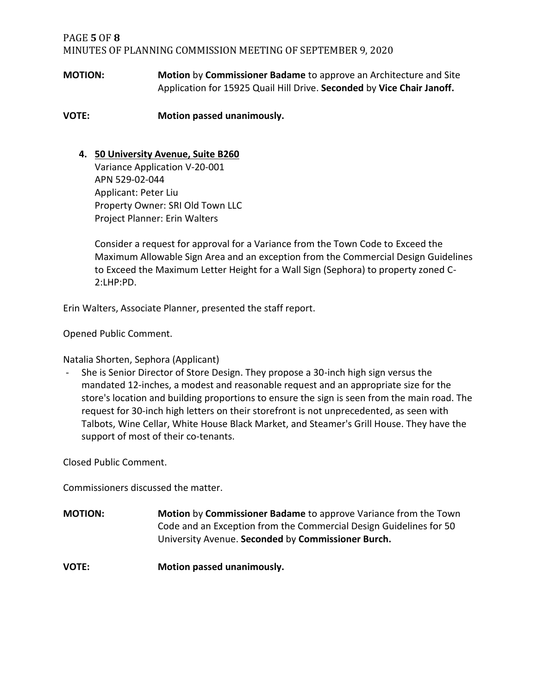### PAGE **5** OF **8** MINUTES OF PLANNING COMMISSION MEETING OF SEPTEMBER 9, 2020

**MOTION: Motion** by **Commissioner Badame** to approve an Architecture and Site Application for 15925 Quail Hill Drive. **Seconded** by **Vice Chair Janoff.**

**VOTE: Motion passed unanimously.**

### **4. 50 University Avenue, Suite B260**

Variance Application V-20-001 APN 529-02-044 Applicant: Peter Liu Property Owner: SRI Old Town LLC Project Planner: Erin Walters

Consider a request for approval for a Variance from the Town Code to Exceed the Maximum Allowable Sign Area and an exception from the Commercial Design Guidelines to Exceed the Maximum Letter Height for a Wall Sign (Sephora) to property zoned C-2:LHP:PD.

Erin Walters, Associate Planner, presented the staff report.

Opened Public Comment.

Natalia Shorten, Sephora (Applicant)

She is Senior Director of Store Design. They propose a 30-inch high sign versus the mandated 12-inches, a modest and reasonable request and an appropriate size for the store's location and building proportions to ensure the sign is seen from the main road. The request for 30-inch high letters on their storefront is not unprecedented, as seen with Talbots, Wine Cellar, White House Black Market, and Steamer's Grill House. They have the support of most of their co-tenants.

Closed Public Comment.

Commissioners discussed the matter.

**MOTION: Motion** by **Commissioner Badame** to approve Variance from the Town Code and an Exception from the Commercial Design Guidelines for 50 University Avenue. **Seconded** by **Commissioner Burch.**

**VOTE: Motion passed unanimously.**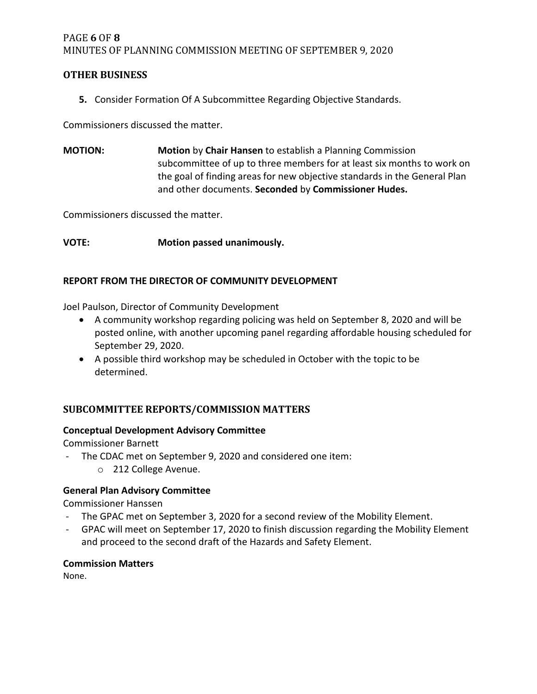### PAGE **6** OF **8** MINUTES OF PLANNING COMMISSION MEETING OF SEPTEMBER 9, 2020

### **OTHER BUSINESS**

**5.** Consider Formation Of A Subcommittee Regarding Objective Standards.

Commissioners discussed the matter.

**MOTION: Motion** by **Chair Hansen** to establish a Planning Commission subcommittee of up to three members for at least six months to work on the goal of finding areas for new objective standards in the General Plan and other documents. **Seconded** by **Commissioner Hudes.**

Commissioners discussed the matter.

**VOTE: Motion passed unanimously.**

#### **REPORT FROM THE DIRECTOR OF COMMUNITY DEVELOPMENT**

Joel Paulson, Director of Community Development

- A community workshop regarding policing was held on September 8, 2020 and will be posted online, with another upcoming panel regarding affordable housing scheduled for September 29, 2020.
- A possible third workshop may be scheduled in October with the topic to be determined.

# **SUBCOMMITTEE REPORTS/COMMISSION MATTERS**

#### **Conceptual Development Advisory Committee**

Commissioner Barnett

- The CDAC met on September 9, 2020 and considered one item:
	- o 212 College Avenue.

### **General Plan Advisory Committee**

Commissioner Hanssen

- The GPAC met on September 3, 2020 for a second review of the Mobility Element.
- GPAC will meet on September 17, 2020 to finish discussion regarding the Mobility Element and proceed to the second draft of the Hazards and Safety Element.

#### **Commission Matters**

None.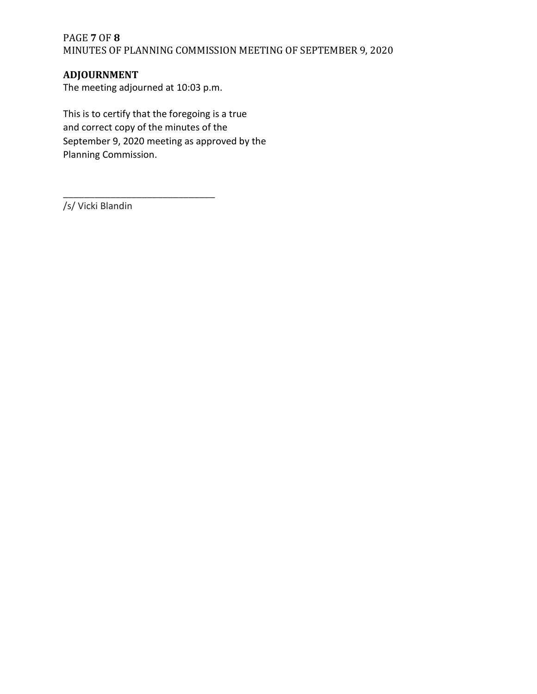# PAGE **7** OF **8** MINUTES OF PLANNING COMMISSION MEETING OF SEPTEMBER 9, 2020

### **ADJOURNMENT**

The meeting adjourned at 10:03 p.m.

\_\_\_\_\_\_\_\_\_\_\_\_\_\_\_\_\_\_\_\_\_\_\_\_\_\_\_\_\_

This is to certify that the foregoing is a true and correct copy of the minutes of the September 9, 2020 meeting as approved by the Planning Commission.

/s/ Vicki Blandin